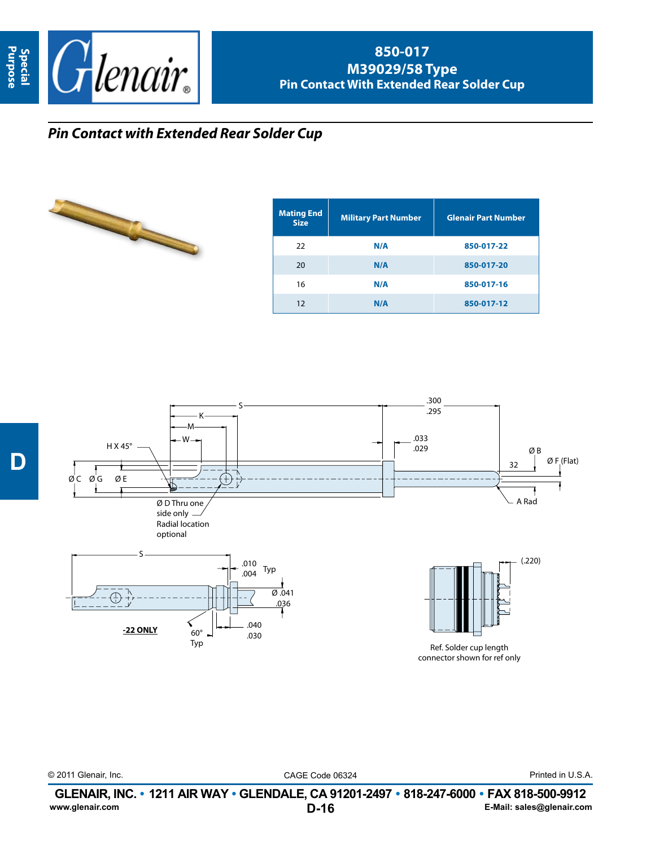

## **850-017 M39029/58 Type Pin Contact With Extended Rear Solder Cup**

## *Pin Contact with Extended Rear Solder Cup*



| <b>Mating End</b><br><b>Size</b> | <b>Military Part Number</b> | <b>Glenair Part Number</b> |
|----------------------------------|-----------------------------|----------------------------|
| 22                               | N/A                         | 850-017-22                 |
| 20                               | N/A                         | 850-017-20                 |
| 16                               | N/A                         | 850-017-16                 |
| 12                               | N/A                         | 850-017-12                 |



© 2011 Glenair, Inc. CAGE Code 06324 Printed in U.S.A.

**D-16 GLENAIR, INC. • 1211 AIR WAY • GLENDALE, CA 91201-2497 • 818-247-6000 • FAX 818-500-9912**<br>E-Mail: sales@glenair.com **www.glenair.com E-Mail: sales@glenair.com**